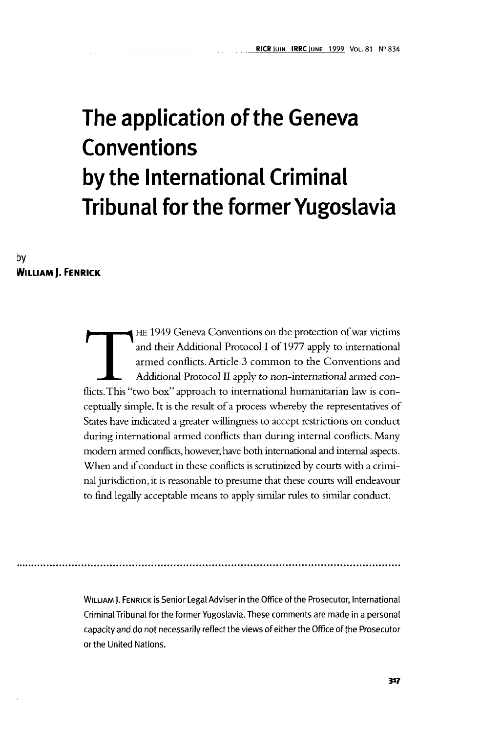# **The application of the Geneva Conventions by the International Criminal Tribunal for the former Yugoslavia**

## **by WILLIAM J. FENRICK**

THE 1949 Geneva Conventions on the protection of war victims<br>
and their Additional Protocol I of 1977 apply to international<br>
armed conflicts. Article 3 common to the Conventions and<br>
Additional Protocol II apply to non-in and their Additional Protocol I of 1977 apply to international armed conflicts. Article 3 common to the Conventions and Additional Protocol II apply to non-international armed conceptually simple. It is the result of a process whereby the representatives of States have indicated a greater willingness to accept restrictions on conduct during international armed conflicts than during internal conflicts. Many modern armed conflicts, however, have both international and internal aspects. When and if conduct in these conflicts is scrutinized by courts with a criminal jurisdiction, it is reasonable to presume that these courts will endeavour to find legally acceptable means to apply similar rules to similar conduct.

WILLIAM J. FENRICK is Senior Legal Adviser in the Office of the Prosecutor, International Criminal Tribunal for the former Yugoslavia. These comments are made in a personal capacity and do not necessarily reflect the views of either the Office of the Prosecutor or the United Nations.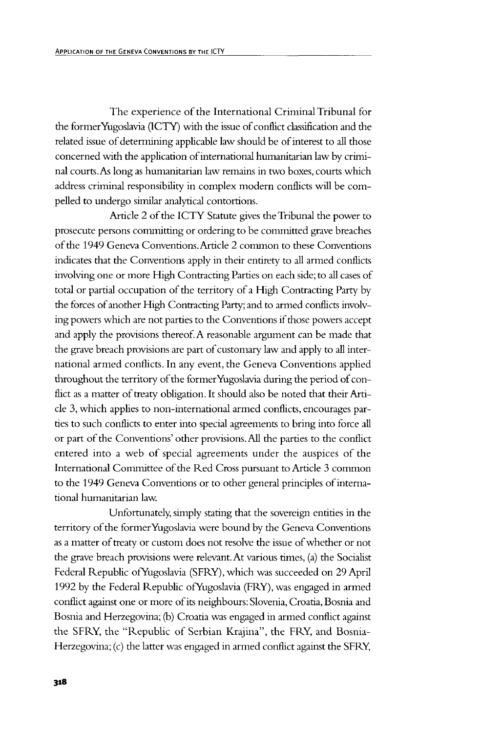The experience of the International Criminal Tribunal for the former Yugoslavia (ICTY) with the issue of conflict classification and the related issue of determining applicable law should be of interest to all those concerned with the application of international humanitarian law by criminal courts. As long as humanitarian law remains in two boxes, courts which address criminal responsibility in complex modern conflicts will be compelled to undergo similar analytical contortions.

Article 2 of the ICTY Statute gives the Tribunal the power to prosecute persons committing or ordering to be committed grave breaches of the 1949 Geneva Conventions. Article 2 common to these Conventions indicates that the Conventions apply in their entirety to all armed conflicts involving one or more High Contracting Parties on each side; to all cases of total or partial occupation of the territory of a High Contracting Party by the forces of another High Contracting Party; and to armed conflicts involving powers which are not parties to the Conventions if those powers accept and apply the provisions thereof. A reasonable argument can be made that the grave breach provisions are part of customary law and apply to all international armed conflicts. In any event, the Geneva Conventions applied throughout the territory of the former Yugoslavia during the period of conflict as a matter of treaty obligation. It should also be noted that their Article 3, which applies to non-international armed conflicts, encourages parties to such conflicts to enter into special agreements to bring into force all or part of the Conventions' other provisions. All the parties to the conflict entered into a web of special agreements under the auspices of the International Committee of the Red Cross pursuant to Article 3 common to the 1949 Geneva Conventions or to other general principles of international humanitarian law.

Unfortunately, simply stating that the sovereign entities in the territory of the former Yugoslavia were bound by the Geneva Conventions as a matter of treaty or custom does not resolve the issue of whether or not the grave breach provisions were relevant. At various times, (a) the Socialist Federal Republic ofYugoslavia (SFRY), which was succeeded on 29 April 1992 by the Federal Republic ofYugoslavia (FRY), was engaged in armed conflict against one or more of its neighbours: Slovenia, Croatia, Bosnia and Bosnia and Herzegovina; (b) Croatia was engaged in armed conflict against the SFRY, the "Republic of Serbian Krajina", the FRY, and Bosnia-Herzegovina; (c) the latter was engaged in armed conflict against the SFRY,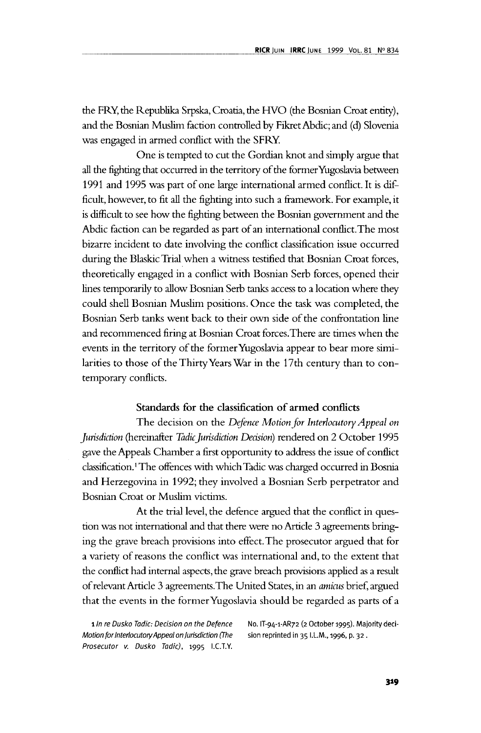the FRY, the Republika Srpska, Croatia, the HVO (the Bosnian Croat entity), and the Bosnian Muslim faction controlled by Fikret Abdic; and (d) Slovenia was engaged in armed conflict with the SFRY.

One is tempted to cut the Gordian knot and simply argue that all the fighting that occurred in the territory of the former Yugoslavia between 1991 and 1995 was part of one large international armed conflict. It is difficult, however, to fit all the fighting into such a framework. For example, it is difficult to see how the fighting between the Bosnian government and the Abdic faction can be regarded as part of an international conflict.The most bizarre incident to date involving the conflict classification issue occurred during the Blaskic Trial when a witness testified that Bosnian Croat forces, theoretically engaged in a conflict with Bosnian Serb forces, opened their lines temporarily to allow Bosnian Serb tanks access to a location where they could shell Bosnian Muslim positions. Once the task was completed, the Bosnian Serb tanks went back to their own side of the confrontation line and recommenced firing at Bosnian Croat forces.There are times when the events in the territory of the former Yugoslavia appear to bear more similarities to those of the Thirty Years War in the 17th century than to contemporary conflicts.

### **Standards for the classification of armed conflicts**

The decision on the *Defence Motion for Interlocutory Appeal on Jurisdiction* (hereinafter *Tadic Jurisdiction Decision*) rendered on 2 October 1995 gave the Appeals Chamber a first opportunity to address the issue of conflict classification.1 The offences with which Tadic was charged occurred in Bosnia and Herzegovina in 1992; they involved a Bosnian Serb perpetrator and Bosnian Croat or Muslim victims.

At the trial level, the defence argued that the conflict in question was not international and that there were no Article 3 agreements bringing the grave breach provisions into effect. The prosecutor argued that for a variety of reasons the conflict was international and, to the extent that the conflict had internal aspects, the grave breach provisions applied as a result of relevant Article 3 agreements.The United States, in an *amicus* brief, argued that the events in the former Yugoslavia should be regarded as parts of a

Motion for Interlocutory Appeal on Jurisdiction (The sion reprinted in 35 I.L.M., 1996, p. 32. Prosecutor v. Dusko Tadic), 1995 I.C.T.Y.

1 In re Dusko Tadic: Decision on the Defence No. IT-94-1-AR72 (2 October 1995). Majority deci-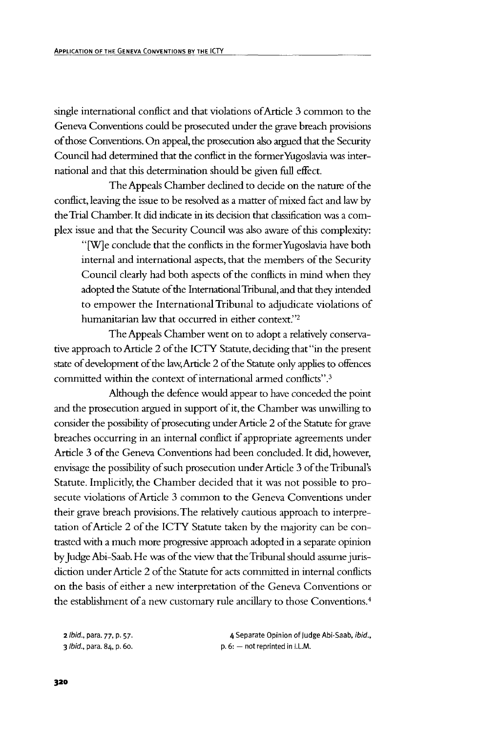single international conflict and that violations of Article 3 common to the Geneva Conventions could be prosecuted under the grave breach provisions of those Conventions. On appeal, the prosecution also argued that the Security Council had determined that the conflict in the former Yugoslavia was international and that this determination should be given full effect.

The Appeals Chamber declined to decide on the nature of the conflict, leaving the issue to be resolved as a matter of mixed fact and law by the Trial Chamber. It did indicate in its decision that classification was a complex issue and that the Security Council was also aware of this complexity:

"[W]e conclude that the conflicts in the former Yugoslavia have both internal and international aspects, that the members of the Security Council clearly had both aspects of the conflicts in mind when they adopted the Statute of the International Tribunal, and that they intended to empower the International Tribunal to adjudicate violations of humanitarian law that occurred in either context."<sup>2</sup>

The Appeals Chamber went on to adopt a relatively conservative approach to Article 2 of the ICTY Statute, deciding that "in the present state of development of the law,Article 2 of the Statute only applies to offences committed within the context of international armed conflicts".3

Although the defence would appear to have conceded the point and the prosecution argued in support of it, the Chamber was unwilling to consider the possibility of prosecuting under Article 2 of die Statute for grave breaches occurring in an internal conflict if appropriate agreements under Article 3 of the Geneva Conventions had been concluded. It did, however, envisage the possibility of such prosecution under Article 3 of the Tribunal's Statute. Implicitly, the Chamber decided that it was not possible to prosecute violations of Article 3 common to the Geneva Conventions under their grave breach provisions.The relatively cautious approach to interpretation of Article 2 of the ICTY Statute taken by the majority can be contrasted widi a much more progressive approach adopted in a separate opinion by Judge Abi-Saab. He was of die view that the Tribunal should assume jurisdiction under Article 2 of the Statute for acts committed in internal conflicts on the basis of either a new interpretation of the Geneva Conventions or the establishment of a new customary rule ancillary to those Conventions.<sup>4</sup>

2 Ibid., para. 77, p. 57. 4 Separate Opinion of Judge Abi-Saab, ibid.,  $3/bid.$  para. 84, p. 60. p. 6:  $-$  not reprinted in I.L.M.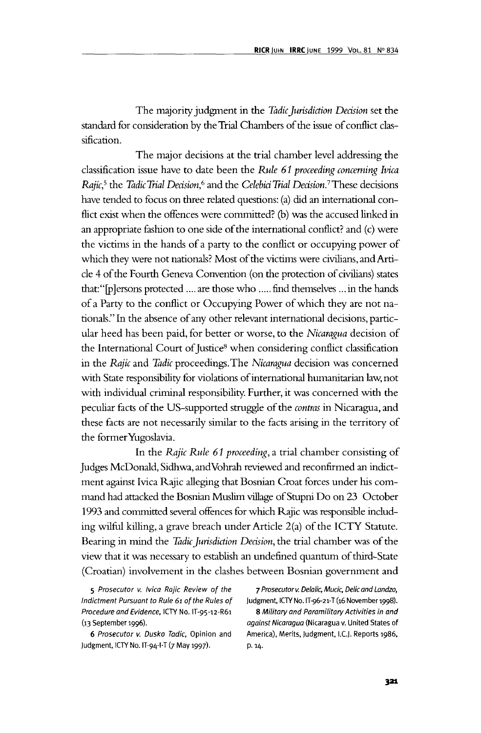The majority judgment in the *Tadic Jurisdiction Decision* set the standard for consideration by the Trial Chambers of the issue of conflict classification.

The major decisions at the trial chamber level addressing the classification issue have to date been the *Rule 61 proceeding concerning Ivica Rajk,5* the *TadicTrial Decision,<sup>6</sup>* and the *CelebidTrial Decision.<sup>7</sup> These* decisions have tended to focus on three related questions: (a) did an international conflict exist when the offences were committed? (b) was the accused linked in an appropriate fashion to one side of the international conflict? and (c) were the victims in the hands of a party to the conflict or occupying power of which they were not nationals? Most of the victims were civilians, and Article 4 of the Fourth Geneva Convention (on the protection of civilians) states that: "[p]ersons protected .... are those who ..... find themselves ... in the hands of a Party to the conflict or Occupying Power of which they are not nationals." In the absence of any other relevant international decisions, particular heed has been paid, for better or worse, to the *Nicaragua* decision of the International Court of Justice<sup>8</sup> when considering conflict classification in the *Rajic* and *Tadic* proceedings.The *Nicaragua* decision was concerned with State responsibility for violations of international humanitarian law, not with individual criminal responsibility. Further, it was concerned with the peculiar facts of the US-supported struggle of the *contras* in Nicaragua, and these facts are not necessarily similar to the facts arising in the territory of the former Yugoslavia.

In the *Rajic Rule 61 proceeding,* a trial chamber consisting of Judges McDonald, Sidhwa, andVohrah reviewed and reconfirmed an indictment against Ivica Rajic alleging that Bosnian Croat forces under his command had attacked the Bosnian Muslim village of Stupni Do on 23 October 1993 and committed several offences for which Rajic was responsible including wilful killing, a grave breach under Article 2(a) of the ICTY Statute. Bearing in mind the *Tadic Jurisdiction Decision,* the trial chamber was of the view that it was necessary to establish an undefined quantum of third-State (Croatian) involvement in the clashes between Bosnian government and

5 Prosecutor v. Ivica Rajic Review of the 7 Prosecutor v. Delalic, Mucic, Delic and Landzo, Procedure and Evidence, ICTY No. IT-95-12-R61 8 Military and Paramilitary Activities in and

Judgment, ICTY No. IT-94-I-T (7 May 1997). p. 14.

Indictment Pursuant to Rule 61 of the Rules of Judgment, ICTY No. IT-96-21-T (16 November 1998).

(13 September 1996). The against Nicaragua (Nicaragua v. United States of 6 Prosecutor v. Dusko Tadic, Opinion and America), Merits, Judgment, I.C.J. Reports 1986,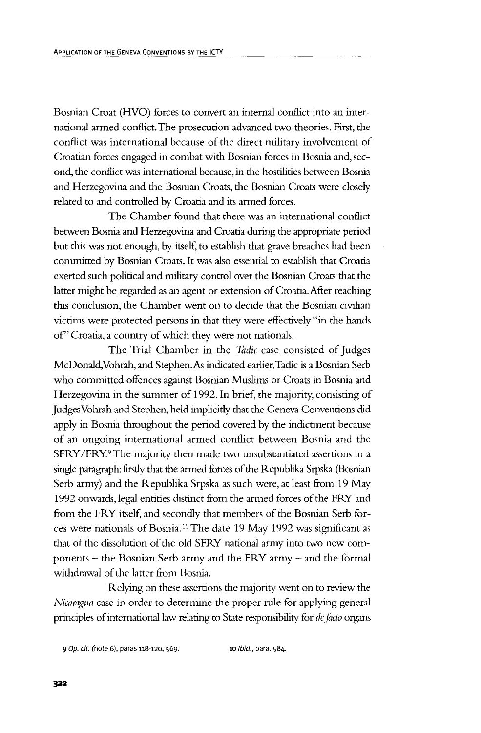Bosnian Croat (HVO) forces to convert an internal conflict into an international armed conflict.The prosecution advanced two theories. First, the conflict was international because of the direct military involvement of Croatian forces engaged in combat with Bosnian forces in Bosnia and, second, the conflict was international because, in the hostilities between Bosnia and Herzegovina and the Bosnian Croats, the Bosnian Croats were closely related to and controlled by Croatia and its armed forces.

The Chamber found that there was an international conflict between Bosnia and Herzegovina and Croatia during the appropriate period but this was not enough, by itself, to establish that grave breaches had been committed by Bosnian Croats. It was also essential to establish that Croatia exerted such political and military control over the Bosnian Croats that the latter might be regarded as an agent or extension of Croatia. After reaching this conclusion, the Chamber went on to decide that the Bosnian civilian victims were protected persons in that they were effectively "in the hands of" Croatia, a country of which they were not nationals.

The Trial Chamber in the *Tadic* case consisted of Judges McDonald,Vohrah, and Stephen. As indicated earlier,Tadic is a Bosnian Serb who committed offences against Bosnian Muslims or Croats in Bosnia and Herzegovina in the summer of 1992. In brief, the majority, consisting of Judges Vohrah and Stephen, held implicitly that the Geneva Conventions did apply in Bosnia throughout the period covered by the indictment because of an ongoing international armed conflict between Bosnia and the SFRY/FRY.<sup>9</sup> The majority then made two unsubstantiated assertions in a single paragraph: firstly that the armed forces of the Republika Srpska (Bosnian Serb army) and the Republika Srpska as such were, at least from 19 May 1992 onwards, legal entities distinct from the armed forces of the FRY and from the FRY itself, and secondly that members of the Bosnian Serb forces were nationals of Bosnia.<sup>10</sup> The date 19 May 1992 was significant as that of the dissolution of the old SFRY national army into two new components — the Bosnian Serb army and the FRY army — and the formal withdrawal of the latter from Bosnia.

Relying on these assertions the majority went on to review the *Nicaragua* case in order to determine the proper rule for applying general principles of international law relating to State responsibility for *de facto* organs

9 *Op. tit.* (note 6), paras 118-120, 569. 10 *Ibid.,* para. 584.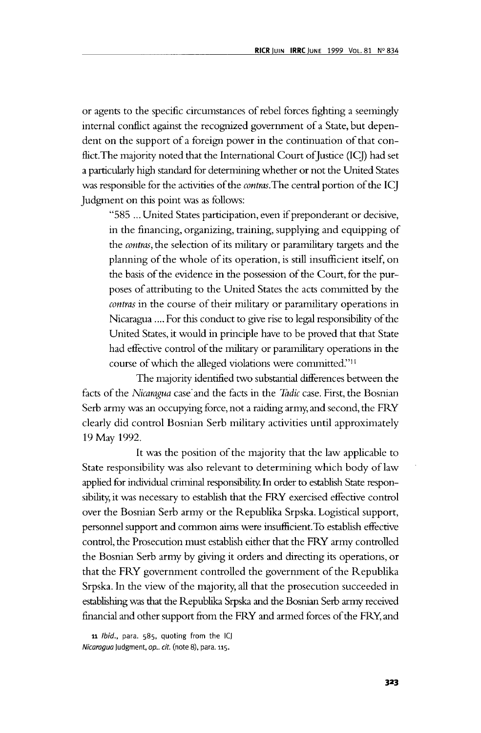or agents to the specific circumstances of rebel forces fighting a seemingly internal conflict against the recognized government of a State, but dependent on the support of a foreign power in the continuation of that conflict. The majority noted that the International Court of Justice (ICJ) had set a particularly high standard for determining whether or not the United States was responsible for the activities of the contras.The central portion of the ICJ Judgment on this point was as follows:

"585 ... United States participation, even if preponderant or decisive, in the financing, organizing, training, supplying and equipping of the *contras,* the selection of its military or paramilitary targets and the planning of the whole of its operation, is still insufficient itself, on the basis of the evidence in the possession of the Court, for the purposes of attributing to the United States the acts committed by the *contras* in the course of their military or paramilitary operations in Nicaragua .... For this conduct to give rise to legal responsibility of the United States, it would in principle have to be proved that that State had effective control of the military or paramilitary operations in the course of which the alleged violations were committed."<sup>11</sup>

The majority identified two substantial differences between the facts of the *Nicaragua* case'and the facts in the *Tadic* case. First, the Bosnian Serb army was an occupying force, not a raiding army, and second, the FRY clearly did control Bosnian Serb military activities until approximately 19 May 1992.

It was the position of the majority that the law applicable to State responsibility was also relevant to determining which body of law applied for individual criminal responsibility. In order to establish State responsibility, it was necessary to establish that the FRY exercised effective control over the Bosnian Serb army or the Republika Srpska. Logistical support, personnel support and common aims were insufficient.To establish effective control, the Prosecution must establish either that the FRY army controlled the Bosnian Serb army by giving it orders and directing its operations, or that the FRY government controlled the government of the Republika Srpska. In the view of the majority, all that the prosecution succeeded in establishing was that the Republika Srpska and the Bosnian Serb army received financial and other support from the FRY and armed forces of the FRY, and

11 Ibid., para. 585, quoting from the ICJ Nicaragua Judgment, op., cit. (note 8), para. 115.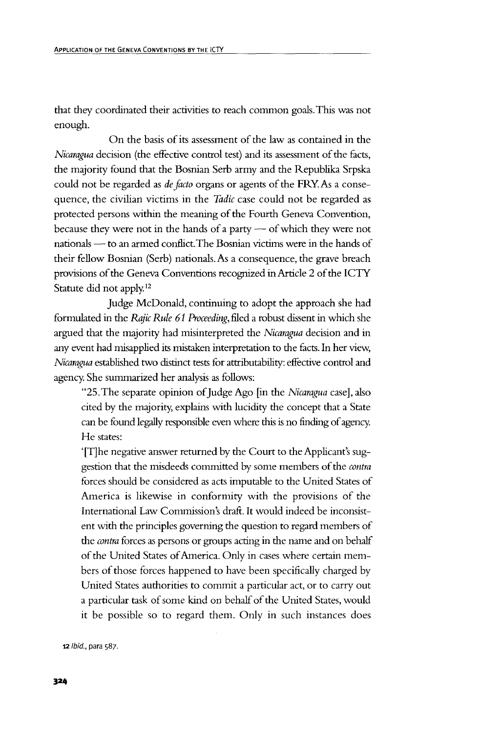that they coordinated their activities to reach common goals. This was not enough.

On the basis of its assessment of the law as contained in the *Nicaragua* decision (the effective control test) and its assessment of the facts, the majority found that the Bosnian Serb army and the Republika Srpska could not be regarded as *de facto* organs or agents of the FRY. As a consequence, the civilian victims in the *Tadic* case could not be regarded as protected persons within the meaning of the Fourth Geneva Convention, because they were not in the hands of a party — of which they were not nationals — to an armed conflict.The Bosnian victims were in the hands of their fellow Bosnian (Serb) nationals. As a consequence, the grave breach provisions of the Geneva Conventions recognized in Article 2 of the ICTY Statute did not apply.12

Judge McDonald, continuing to adopt the approach she had formulated in the *Rajic Rule 61 Proceeding,* filed a robust dissent in which she argued that the majority had misinterpreted the *Nicaragua* decision and in any event had misapplied its mistaken interpretation to the facts. In her view, *Nicaragua* established two distinct tests for attributability: effective control and agency. She summarized her analysis as follows:

"25.The separate opinion of Judge Ago [in the *Nicaragua* case], also cited by the majority, explains with lucidity the concept that a State can be found legally responsible even where this is no finding of agency. He states:

'[T]he negative answer returned by the Court to the Applicant's suggestion that the misdeeds committed by some members of the *contra* forces should be considered as acts imputable to the United States of America is likewise in conformity with the provisions of the International Law Commission's draft. It would indeed be inconsistent with the principles governing the question to regard members of the *contra* forces as persons or groups acting in the name and on behalf of the United States of America. Only in cases where certain members of those forces happened to have been specifically charged by United States authorities to commit a particular act, or to carry out a particular task of some kind on behalf of the United States, would it be possible so to regard them. Only in such instances does

12 Ibid., para 587.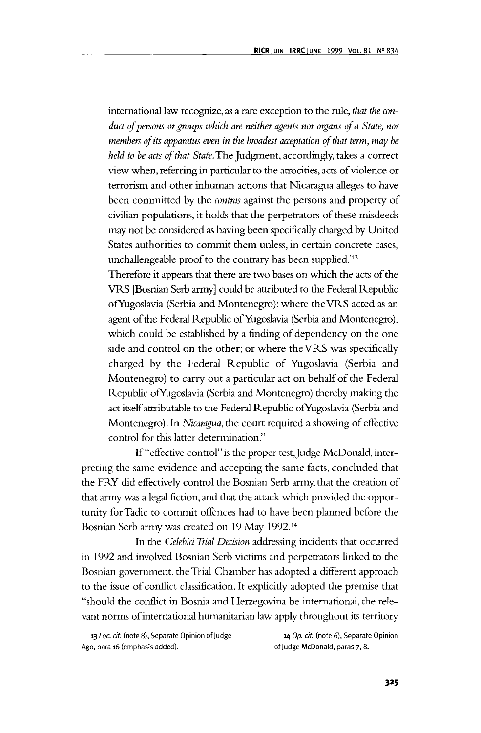international law recognize, as a rare exception to the rule, *that the conduct of persons or groups which are neither agents nor organs of a State, nor members of its apparatus even in the broadest acceptation of that term, may be held to be acts of that State.* The Judgment, accordingly, takes a correct view when, referring in particular to the atrocities, acts of violence or terrorism and other inhuman actions that Nicaragua alleges to have been committed by the *contras* against the persons and property of civilian populations, it holds that the perpetrators of these misdeeds may not be considered as having been specifically charged by United States authorities to commit them unless, in certain concrete cases, unchallengeable proof to the contrary has been supplied.<sup>13</sup>

Therefore it appears that there are two bases on which the acts of the VRS [Bosnian Serb army] could be attributed to the Federal Republic ofYugoslavia (Serbia and Montenegro): where the VRS acted as an agent of the Federal Republic of Yugoslavia (Serbia and Montenegro), which could be established by a finding of dependency on the one side and control on the other; or where the VRS was specifically charged by the Federal Republic of Yugoslavia (Serbia and Montenegro) to carry out a particular act on behalf of the Federal Republic ofYugoslavia (Serbia and Montenegro) thereby making the act itself attributable to the Federal Republic ofYugoslavia (Serbia and Montenegro). In *Nicaragua,* the court required a showing of effective control for this latter determination."

If "effective control" is the proper test, Judge McDonald, interpreting the same evidence and accepting the same facts, concluded that the FRY did effectively control the Bosnian Serb army, that the creation of that army was a legal fiction, and that the attack which provided the opportunity forTadic to commit offences had to have been planned before the Bosnian Serb army was created on 19 May 1992.14

In the *Celebid Trial Decision* addressing incidents that occurred in 1992 and involved Bosnian Serb victims and perpetrators linked to the Bosnian government, the Trial Chamber has adopted a different approach to the issue of conflict classification. It explicitly adopted the premise that "should the conflict in Bosnia and Herzegovina be international, the relevant norms of international humanitarian law apply throughout its territory

Ago, para 16 (emphasis added). (a) a set of Judge McDonald, paras 7, 8.

13 Loc. cit. (note 8), Separate Opinion of Judge 14 Op. cit. (note 6), Separate Opinion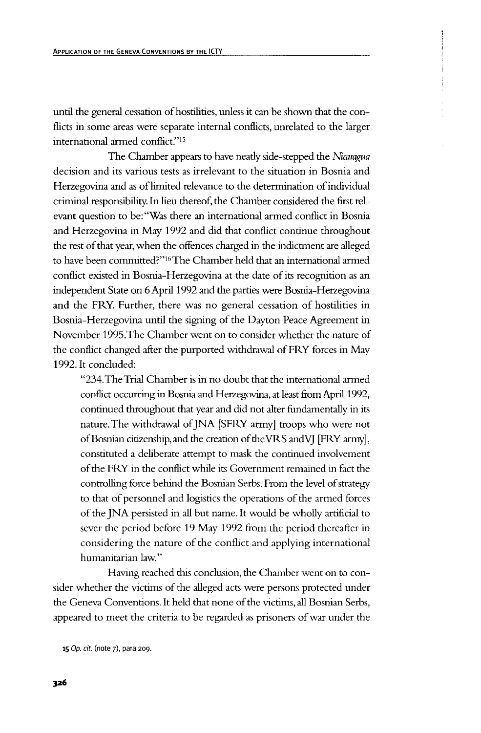until the general cessation of hostilities, unless it can be shown that the conflicts in some areas were separate internal conflicts, unrelated to the larger international armed conflict."15

The Chamber appears to have neatly side-stepped the *Nicaragua* decision and its various tests as irrelevant to the situation in Bosnia and Herzegovina and as of limited relevance to the determination of individual criminal responsibility. In lieu thereof, the Chamber considered the first relevant question to be: "Was there an international armed conflict in Bosnia and Herzegovina in May 1992 and did that conflict continue throughout the rest of that year, when the offences charged in the indictment are alleged to have been committed?"<sup>16</sup> The Chamber held that an international armed conflict existed in Bosnia-Herzegovina at the date of its recognition as an independent State on 6 April 1992 and the parties were Bosnia-Herzegovina and the FRY. Further, there was no general cessation of hostilities in Bosnia-Herzegovina until the signing of the Dayton Peace Agreement in November 1995.The Chamber went on to consider whether the nature of the conflict changed after the purported withdrawal of FRY forces in May 1992. It concluded:

"234.The Trial Chamber is in no doubt that the international armed conflict occurring in Bosnia and Herzegovina, at least from April 1992, continued throughout that year and did not alter fundamentally in its nature. The withdrawal of JNA [SFRY army] troops who were not of Bosnian citizenship, and the creation of theVRS andVJ [FRY army], constituted a deliberate attempt to mask the continued involvement of the FRY in die conflict while its Government remained in fact the controlling force behind the Bosnian Serbs. From the level of strategy to that of personnel and logistics the operations of the armed forces of the JNA persisted in all but name. It would be wholly artificial to sever the period before 19 May 1992 from the period thereafter in considering the nature of the conflict and applying international humanitarian law."

Having reached this conclusion, die Chamber went on to consider whether the victims of the alleged acts were persons protected under the Geneva Conventions. It held that none of the victims, all Bosnian Serbs, appeared to meet the criteria to be regarded as prisoners of war under the

<sup>15</sup> Op. cit. (note 7), para 209.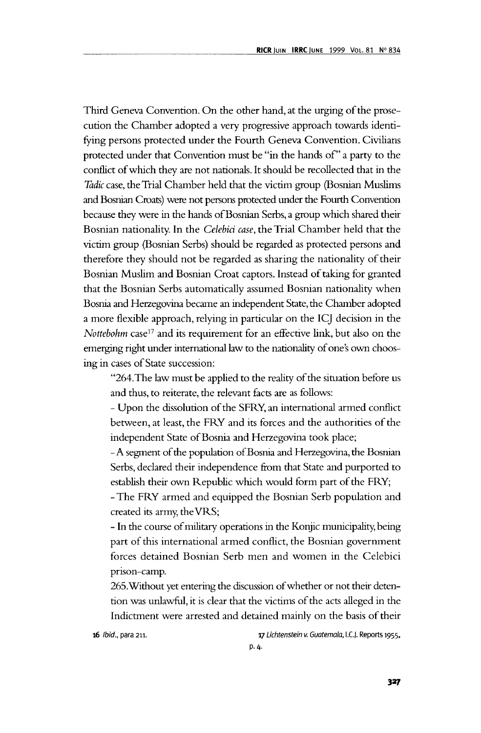Third Geneva Convention. On the other hand, at the urging of the prosecution the Chamber adopted a very progressive approach towards identifying persons protected under the Fourth Geneva Convention. Civilians protected under that Convention must be "in the hands of" a party to the conflict of which they are not nationals. It should be recollected that in the *Tadic* case, the Trial Chamber held that the victim group (Bosnian Muslims and Bosnian Croats) were not persons protected under the Fourth Convention because they were in the hands of Bosnian Serbs, a group which shared dieir Bosnian nationality. In the *Celebici case,* the Trial Chamber held that the victim group (Bosnian Serbs) should be regarded as protected persons and therefore they should not be regarded as sharing the nationality of their Bosnian Muslim and Bosnian Croat captors. Instead of taking for granted that the Bosnian Serbs automatically assumed Bosnian nationality when Bosnia and Herzegovina became an independent State, the Chamber adopted a more flexible approach, relying in particular on the ICJ decision in the *Nottebohm* case<sup>17</sup> and its requirement for an effective link, but also on the emerging right under international law to the nationality of one's own choosing in cases of State succession:

"264.The law must be applied to the reality of the situation before us and thus, to reiterate, the relevant facts are as follows:

- Upon the dissolution of the SFRY, an international armed conflict between, at least, the FRY and its forces and the authorities of the independent State of Bosnia and Herzegovina took place;

- A segment of the population of Bosnia and Herzegovina, the Bosnian Serbs, declared their independence from that State and purported to establish their own Republic which would form part of the FRY;

- The FRY armed and equipped the Bosnian Serb population and created its army, theVRS;

- In the course of military operations in the Konjic municipality, being part of this international armed conflict, the Bosnian government forces detained Bosnian Serb men and women in the Celebici prison-camp.

265.Without yet entering the discussion of whether or not their detention was unlawful, it is clear that the victims of the acts alleged in the Indictment were arrested and detained mainly on the basis of their

16 Ibid., para 211. 16 Ibid., para 211. P-4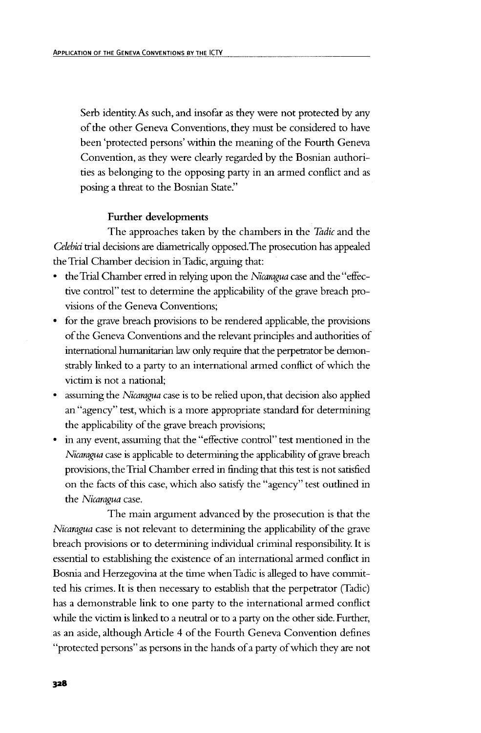Serb identity. As such, and insofar as they were not protected by any of the other Geneva Conventions, they must be considered to have been 'protected persons' within the meaning of the Fourth Geneva Convention, as they were clearly regarded by the Bosnian authorities as belonging to the opposing party in an armed conflict and as posing a threat to the Bosnian State."

#### **Further developments**

The approaches taken by the chambers in the *Tadic* and the *Cekbiti* trial decisions are diametrically opposed.The prosecution has appealed the Trial Chamber decision in Tadic, arguing that:

- the Trial Chamber erred in relying upon the *Nicaragua* case and the "effective control" test to determine the applicability of the grave breach provisions of the Geneva Conventions;
- for the grave breach provisions to be rendered applicable, the provisions of the Geneva Conventions and the relevant principles and authorities of international humanitarian law only require that the perpetrator be demonstrably linked to a party to an international armed conflict of which the victim is not a national;
- assuming the *Nicaragua* case is to be relied upon, that decision also applied an "agency" test, which is a more appropriate standard for determining the applicability of the grave breach provisions;
- in any event, assuming that the "effective control" test mentioned in the *Nicaragua* case is applicable to determining the applicability of grave breach provisions, the Trial Chamber erred in finding that this test is not satisfied on the facts of this case, which also satisfy the "agency" test outlined in the *Nicaragua* case.

The main argument advanced by the prosecution is that the *Nicaragua* case is not relevant to determining the applicability of the grave breach provisions or to determining individual criminal responsibility. It is essential to establishing the existence of an international armed conflict in Bosnia and Herzegovina at the time when Tadic is alleged to have committed his crimes. It is then necessary to establish that the perpetrator (Tadic) has a demonstrable link to one party to the international armed conflict while the victim is linked to a neutral or to a party on the other side. Further, as an aside, although Article 4 of the Fourth Geneva Convention defines "protected persons" as persons in the hands of a party of which they are not